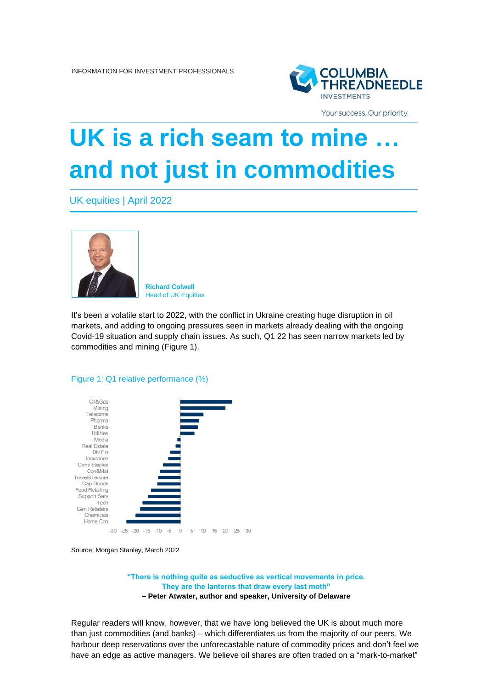

Your success. Our priority.

# **UK is a rich seam to mine and not just in commodities**

UK equities | April 2022



**Richard Colwell** Head of UK Equities

It's been a volatile start to 2022, with the conflict in Ukraine creating huge disruption in oil markets, and adding to ongoing pressures seen in markets already dealing with the ongoing Covid-19 situation and supply chain issues. As such, Q1 22 has seen narrow markets led by commodities and mining (Figure 1).

Figure 1: Q1 relative performance (%)



Source: Morgan Stanley, March 2022

**"There is nothing quite as seductive as vertical movements in price. They are the lanterns that draw every last moth" – Peter Atwater, author and speaker, University of Delaware**

Regular readers will know, however, that we have long believed the UK is about much more than just commodities (and banks) – which differentiates us from the majority of our peers. We harbour deep reservations over the unforecastable nature of commodity prices and don't feel we have an edge as active managers. We believe oil shares are often traded on a "mark-to-market"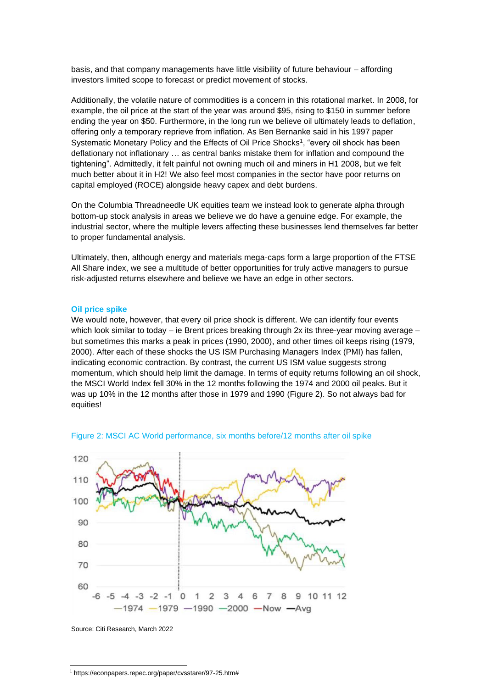basis, and that company managements have little visibility of future behaviour – affording investors limited scope to forecast or predict movement of stocks.

Additionally, the volatile nature of commodities is a concern in this rotational market. In 2008, for example, the oil price at the start of the year was around \$95, rising to \$150 in summer before ending the year on \$50. Furthermore, in the long run we believe oil ultimately leads to deflation, offering only a temporary reprieve from inflation. As Ben Bernanke said in his 1997 paper Systematic Monetary Policy and the Effects of Oil Price Shocks<sup>1</sup> , "every oil shock has been deflationary not inflationary … as central banks mistake them for inflation and compound the tightening". Admittedly, it felt painful not owning much oil and miners in H1 2008, but we felt much better about it in H2! We also feel most companies in the sector have poor returns on capital employed (ROCE) alongside heavy capex and debt burdens.

On the Columbia Threadneedle UK equities team we instead look to generate alpha through bottom-up stock analysis in areas we believe we do have a genuine edge. For example, the industrial sector, where the multiple levers affecting these businesses lend themselves far better to proper fundamental analysis.

Ultimately, then, although energy and materials mega-caps form a large proportion of the FTSE All Share index, we see a multitude of better opportunities for truly active managers to pursue risk-adjusted returns elsewhere and believe we have an edge in other sectors.

#### **Oil price spike**

We would note, however, that every oil price shock is different. We can identify four events which look similar to today – ie Brent prices breaking through 2x its three-year moving average – but sometimes this marks a peak in prices (1990, 2000), and other times oil keeps rising (1979, 2000). After each of these shocks the US ISM Purchasing Managers Index (PMI) has fallen, indicating economic contraction. By contrast, the current US ISM value suggests strong momentum, which should help limit the damage. In terms of equity returns following an oil shock, the MSCI World Index fell 30% in the 12 months following the 1974 and 2000 oil peaks. But it was up 10% in the 12 months after those in 1979 and 1990 (Figure 2). So not always bad for equities!





Source: Citi Research, March 2022

<sup>1</sup> https://econpapers.repec.org/paper/cvsstarer/97-25.htm#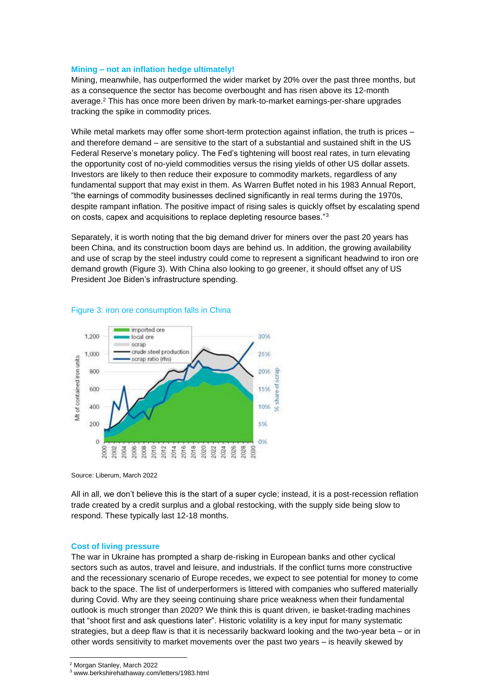### **Mining – not an inflation hedge ultimately!**

Mining, meanwhile, has outperformed the wider market by 20% over the past three months, but as a consequence the sector has become overbought and has risen above its 12-month average.<sup>2</sup> This has once more been driven by mark-to-market earnings-per-share upgrades tracking the spike in commodity prices.

While metal markets may offer some short-term protection against inflation, the truth is prices – and therefore demand – are sensitive to the start of a substantial and sustained shift in the US Federal Reserve's monetary policy. The Fed's tightening will boost real rates, in turn elevating the opportunity cost of no-yield commodities versus the rising yields of other US dollar assets. Investors are likely to then reduce their exposure to commodity markets, regardless of any fundamental support that may exist in them. As Warren Buffet noted in his 1983 Annual Report, "the earnings of commodity businesses declined significantly in real terms during the 1970s, despite rampant inflation. The positive impact of rising sales is quickly offset by escalating spend on costs, capex and acquisitions to replace depleting resource bases."<sup>3</sup>

Separately, it is worth noting that the big demand driver for miners over the past 20 years has been China, and its construction boom days are behind us. In addition, the growing availability and use of scrap by the steel industry could come to represent a significant headwind to iron ore demand growth (Figure 3). With China also looking to go greener, it should offset any of US President Joe Biden's infrastructure spending.



### Figure 3: iron ore consumption falls in China

Source: Liberum, March 2022

All in all, we don't believe this is the start of a super cycle; instead, it is a post-recession reflation trade created by a credit surplus and a global restocking, with the supply side being slow to respond. These typically last 12-18 months.

#### **Cost of living pressure**

The war in Ukraine has prompted a sharp de-risking in European banks and other cyclical sectors such as autos, travel and leisure, and industrials. If the conflict turns more constructive and the recessionary scenario of Europe recedes, we expect to see potential for money to come back to the space. The list of underperformers is littered with companies who suffered materially during Covid. Why are they seeing continuing share price weakness when their fundamental outlook is much stronger than 2020? We think this is quant driven, ie basket-trading machines that "shoot first and ask questions later". Historic volatility is a key input for many systematic strategies, but a deep flaw is that it is necessarily backward looking and the two-year beta – or in other words sensitivity to market movements over the past two years – is heavily skewed by

<sup>2</sup> Morgan Stanley, March 2022

<sup>3</sup> www.berkshirehathaway.com/letters/1983.html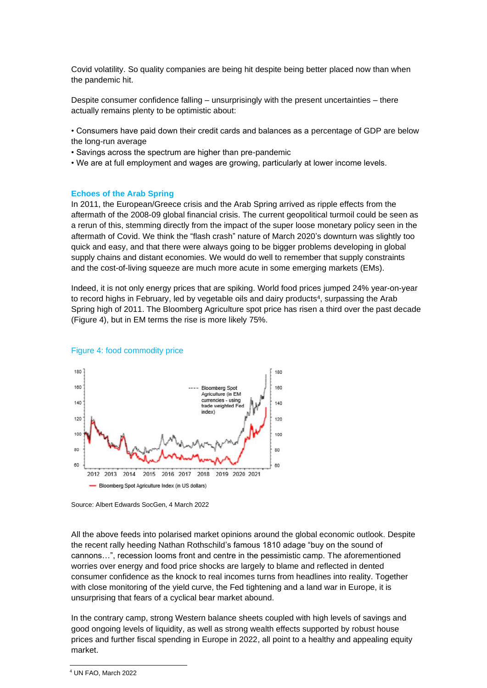Covid volatility. So quality companies are being hit despite being better placed now than when the pandemic hit.

Despite consumer confidence falling – unsurprisingly with the present uncertainties – there actually remains plenty to be optimistic about:

• Consumers have paid down their credit cards and balances as a percentage of GDP are below the long-run average

- Savings across the spectrum are higher than pre-pandemic
- We are at full employment and wages are growing, particularly at lower income levels.

#### **Echoes of the Arab Spring**

In 2011, the European/Greece crisis and the Arab Spring arrived as ripple effects from the aftermath of the 2008-09 global financial crisis. The current geopolitical turmoil could be seen as a rerun of this, stemming directly from the impact of the super loose monetary policy seen in the aftermath of Covid. We think the "flash crash" nature of March 2020's downturn was slightly too quick and easy, and that there were always going to be bigger problems developing in global supply chains and distant economies. We would do well to remember that supply constraints and the cost-of-living squeeze are much more acute in some emerging markets (EMs).

Indeed, it is not only energy prices that are spiking. World food prices jumped 24% year-on-year to record highs in February, led by vegetable oils and dairy products<sup>4</sup>, surpassing the Arab Spring high of 2011. The Bloomberg Agriculture spot price has risen a third over the past decade (Figure 4), but in EM terms the rise is more likely 75%.



#### Figure 4: food commodity price

All the above feeds into polarised market opinions around the global economic outlook. Despite the recent rally heeding Nathan Rothschild's famous 1810 adage "buy on the sound of cannons…", recession looms front and centre in the pessimistic camp. The aforementioned worries over energy and food price shocks are largely to blame and reflected in dented consumer confidence as the knock to real incomes turns from headlines into reality. Together with close monitoring of the yield curve, the Fed tightening and a land war in Europe, it is unsurprising that fears of a cyclical bear market abound.

In the contrary camp, strong Western balance sheets coupled with high levels of savings and good ongoing levels of liquidity, as well as strong wealth effects supported by robust house prices and further fiscal spending in Europe in 2022, all point to a healthy and appealing equity market.

Source: Albert Edwards SocGen, 4 March 2022

<sup>4</sup> UN FAO, March 2022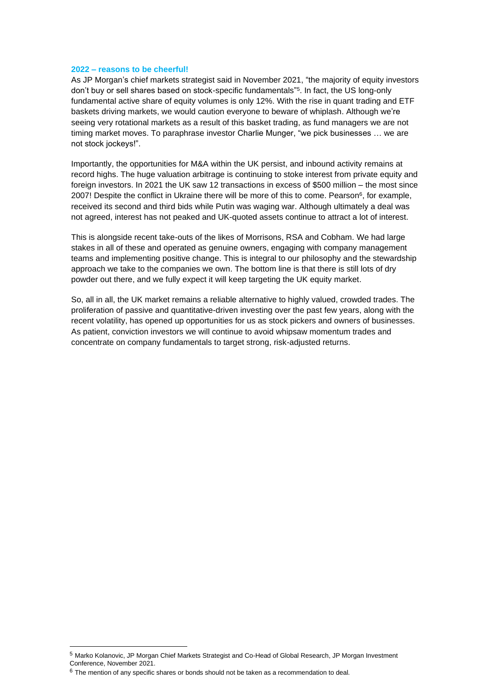### **2022 – reasons to be cheerful!**

As JP Morgan's chief markets strategist said in November 2021, "the majority of equity investors don't buy or sell shares based on stock-specific fundamentals" 5 . In fact, the US long-only fundamental active share of equity volumes is only 12%. With the rise in quant trading and ETF baskets driving markets, we would caution everyone to beware of whiplash. Although we're seeing very rotational markets as a result of this basket trading, as fund managers we are not timing market moves. To paraphrase investor Charlie Munger, "we pick businesses … we are not stock jockeys!".

Importantly, the opportunities for M&A within the UK persist, and inbound activity remains at record highs. The huge valuation arbitrage is continuing to stoke interest from private equity and foreign investors. In 2021 the UK saw 12 transactions in excess of \$500 million – the most since 2007! Despite the conflict in Ukraine there will be more of this to come. Pearson<sup>6</sup>, for example, received its second and third bids while Putin was waging war. Although ultimately a deal was not agreed, interest has not peaked and UK-quoted assets continue to attract a lot of interest.

This is alongside recent take-outs of the likes of Morrisons, RSA and Cobham. We had large stakes in all of these and operated as genuine owners, engaging with company management teams and implementing positive change. This is integral to our philosophy and the stewardship approach we take to the companies we own. The bottom line is that there is still lots of dry powder out there, and we fully expect it will keep targeting the UK equity market.

So, all in all, the UK market remains a reliable alternative to highly valued, crowded trades. The proliferation of passive and quantitative-driven investing over the past few years, along with the recent volatility, has opened up opportunities for us as stock pickers and owners of businesses. As patient, conviction investors we will continue to avoid whipsaw momentum trades and concentrate on company fundamentals to target strong, risk-adjusted returns.

<sup>5</sup> Marko Kolanovic, JP Morgan Chief Markets Strategist and Co-Head of Global Research, JP Morgan Investment Conference, November 2021.

 $6$  The mention of any specific shares or bonds should not be taken as a recommendation to deal.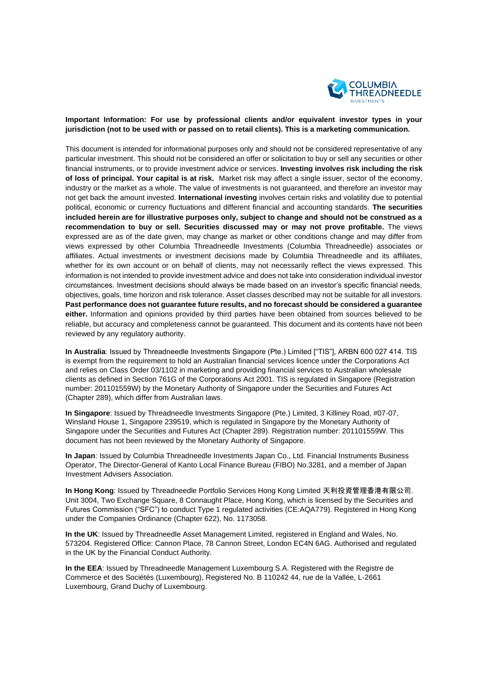

# **Important Information: For use by professional clients and/or equivalent investor types in your jurisdiction (not to be used with or passed on to retail clients). This is a marketing communication.**

This document is intended for informational purposes only and should not be considered representative of any particular investment. This should not be considered an offer or solicitation to buy or sell any securities or other financial instruments, or to provide investment advice or services. **Investing involves risk including the risk of loss of principal. Your capital is at risk.** Market risk may affect a single issuer, sector of the economy, industry or the market as a whole. The value of investments is not guaranteed, and therefore an investor may not get back the amount invested. **International investing** involves certain risks and volatility due to potential political, economic or currency fluctuations and different financial and accounting standards. **The securities included herein are for illustrative purposes only, subject to change and should not be construed as a recommendation to buy or sell. Securities discussed may or may not prove profitable.** The views expressed are as of the date given, may change as market or other conditions change and may differ from views expressed by other Columbia Threadneedle Investments (Columbia Threadneedle) associates or affiliates. Actual investments or investment decisions made by Columbia Threadneedle and its affiliates, whether for its own account or on behalf of clients, may not necessarily reflect the views expressed. This information is not intended to provide investment advice and does not take into consideration individual investor circumstances. Investment decisions should always be made based on an investor's specific financial needs, objectives, goals, time horizon and risk tolerance. Asset classes described may not be suitable for all investors. **Past performance does not guarantee future results, and no forecast should be considered a guarantee either.** Information and opinions provided by third parties have been obtained from sources believed to be reliable, but accuracy and completeness cannot be guaranteed. This document and its contents have not been reviewed by any regulatory authority.

**In Australia**: Issued by Threadneedle Investments Singapore (Pte.) Limited ["TIS"], ARBN 600 027 414. TIS is exempt from the requirement to hold an Australian financial services licence under the Corporations Act and relies on Class Order 03/1102 in marketing and providing financial services to Australian wholesale clients as defined in Section 761G of the Corporations Act 2001. TIS is regulated in Singapore (Registration number: 201101559W) by the Monetary Authority of Singapore under the Securities and Futures Act (Chapter 289), which differ from Australian laws.

**In Singapore**: Issued by Threadneedle Investments Singapore (Pte.) Limited, 3 Killiney Road, #07-07, Winsland House 1, Singapore 239519, which is regulated in Singapore by the Monetary Authority of Singapore under the Securities and Futures Act (Chapter 289). Registration number: 201101559W. This document has not been reviewed by the Monetary Authority of Singapore.

**In Japan**: Issued by Columbia Threadneedle Investments Japan Co., Ltd. Financial Instruments Business Operator, The Director-General of Kanto Local Finance Bureau (FIBO) No.3281, and a member of Japan Investment Advisers Association.

**In Hong Kong**: Issued by Threadneedle Portfolio Services Hong Kong Limited 天利投資管理香港有限公司. Unit 3004, Two Exchange Square, 8 Connaught Place, Hong Kong, which is licensed by the Securities and Futures Commission ("SFC") to conduct Type 1 regulated activities (CE:AQA779). Registered in Hong Kong under the Companies Ordinance (Chapter 622), No. 1173058.

**In the UK**: Issued by Threadneedle Asset Management Limited, registered in England and Wales, No. 573204. Registered Office: Cannon Place, 78 Cannon Street, London EC4N 6AG. Authorised and regulated in the UK by the Financial Conduct Authority.

**In the EEA**: Issued by Threadneedle Management Luxembourg S.A. Registered with the Registre de Commerce et des Sociétés (Luxembourg), Registered No. B 110242 44, rue de la Vallée, L-2661 Luxembourg, Grand Duchy of Luxembourg.